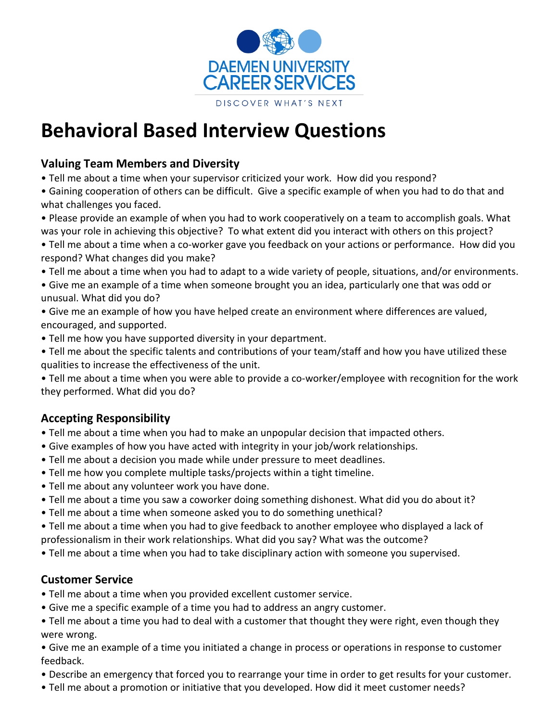

# **Behavioral Based Interview Questions**

#### **Valuing Team Members and Diversity**

- Tell me about a time when your supervisor criticized your work. How did you respond?
- Gaining cooperation of others can be difficult. Give a specific example of when you had to do that and what challenges you faced.
- Please provide an example of when you had to work cooperatively on a team to accomplish goals. What was your role in achieving this objective? To what extent did you interact with others on this project?
- Tell me about a time when a co-worker gave you feedback on your actions or performance. How did you respond? What changes did you make?
- Tell me about a time when you had to adapt to a wide variety of people, situations, and/or environments.
- Give me an example of a time when someone brought you an idea, particularly one that was odd or unusual. What did you do?
- Give me an example of how you have helped create an environment where differences are valued, encouraged, and supported.
- Tell me how you have supported diversity in your department.
- Tell me about the specific talents and contributions of your team/staff and how you have utilized these qualities to increase the effectiveness of the unit.
- Tell me about a time when you were able to provide a co-worker/employee with recognition for the work they performed. What did you do?

## **Accepting Responsibility**

- Tell me about a time when you had to make an unpopular decision that impacted others.
- Give examples of how you have acted with integrity in your job/work relationships.
- Tell me about a decision you made while under pressure to meet deadlines.
- Tell me how you complete multiple tasks/projects within a tight timeline.
- Tell me about any volunteer work you have done.
- Tell me about a time you saw a coworker doing something dishonest. What did you do about it?
- Tell me about a time when someone asked you to do something unethical?
- Tell me about a time when you had to give feedback to another employee who displayed a lack of professionalism in their work relationships. What did you say? What was the outcome?
- Tell me about a time when you had to take disciplinary action with someone you supervised.

#### **Customer Service**

- Tell me about a time when you provided excellent customer service.
- Give me a specific example of a time you had to address an angry customer.
- Tell me about a time you had to deal with a customer that thought they were right, even though they were wrong.
- Give me an example of a time you initiated a change in process or operations in response to customer feedback.
- Describe an emergency that forced you to rearrange your time in order to get results for your customer.
- Tell me about a promotion or initiative that you developed. How did it meet customer needs?